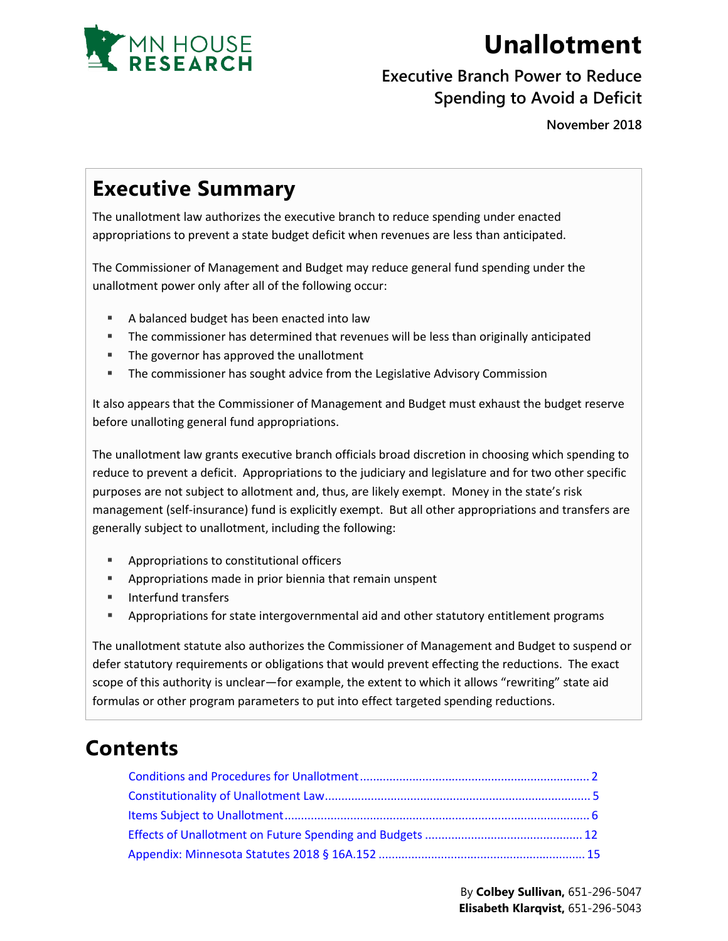

# **Unallotment**

#### **Executive Branch Power to Reduce Spending to Avoid a Deficit**

**November 2018**

# **Executive Summary**

The unallotment law authorizes the executive branch to reduce spending under enacted appropriations to prevent a state budget deficit when revenues are less than anticipated.

The Commissioner of Management and Budget may reduce general fund spending under the unallotment power only after all of the following occur:

- A balanced budget has been enacted into law
- **The commissioner has determined that revenues will be less than originally anticipated**
- **The governor has approved the unallotment**
- **The commissioner has sought advice from the Legislative Advisory Commission**

It also appears that the Commissioner of Management and Budget must exhaust the budget reserve before unalloting general fund appropriations.

The unallotment law grants executive branch officials broad discretion in choosing which spending to reduce to prevent a deficit. Appropriations to the judiciary and legislature and for two other specific purposes are not subject to allotment and, thus, are likely exempt. Money in the state's risk management (self-insurance) fund is explicitly exempt. But all other appropriations and transfers are generally subject to unallotment, including the following:

- **Appropriations to constitutional officers**
- Appropriations made in prior biennia that remain unspent
- **Interfund transfers**
- **Appropriations for state intergovernmental aid and other statutory entitlement programs**

The unallotment statute also authorizes the Commissioner of Management and Budget to suspend or defer statutory requirements or obligations that would prevent effecting the reductions. The exact scope of this authority is unclear—for example, the extent to which it allows "rewriting" state aid formulas or other program parameters to put into effect targeted spending reductions.

## **Contents**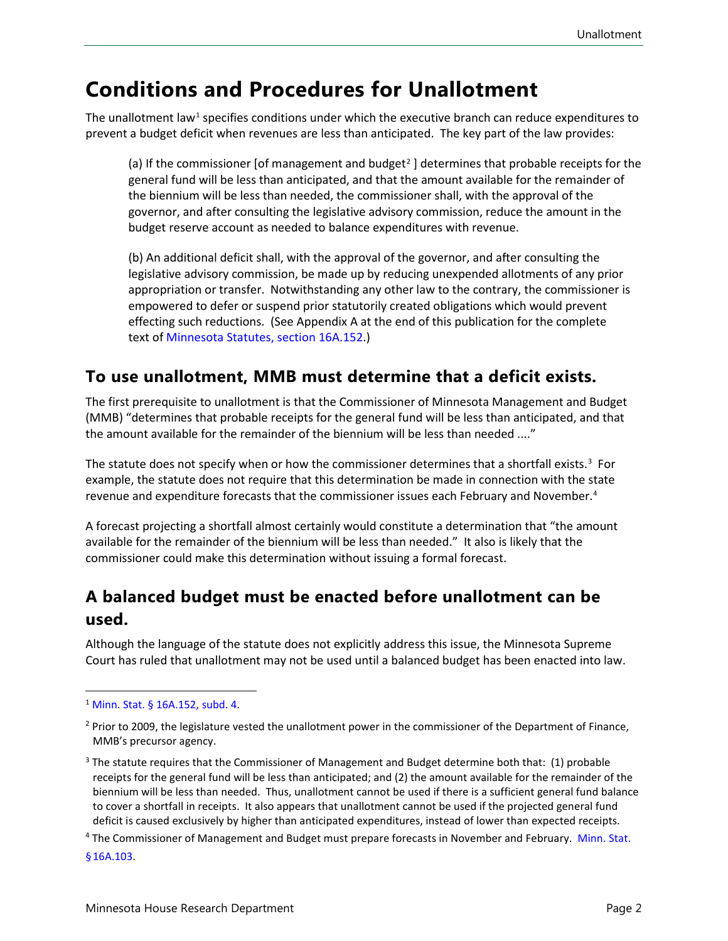### <span id="page-1-0"></span>**Conditions and Procedures for Unallotment**

The unallotment law<sup>[1](#page-1-1)</sup> specifies conditions under which the executive branch can reduce expenditures to prevent a budget deficit when revenues are less than anticipated. The key part of the law provides:

(a) If the commissioner [of management and budget<sup>[2](#page-1-2)</sup>] determines that probable receipts for the general fund will be less than anticipated, and that the amount available for the remainder of the biennium will be less than needed, the commissioner shall, with the approval of the governor, and after consulting the legislative advisory commission, reduce the amount in the budget reserve account as needed to balance expenditures with revenue.

(b) An additional deficit shall, with the approval of the governor, and after consulting the legislative advisory commission, be made up by reducing unexpended allotments of any prior appropriation or transfer. Notwithstanding any other law to the contrary, the commissioner is empowered to defer or suspend prior statutorily created obligations which would prevent effecting such reductions. (See Appendix A at the end of this publication for the complete text of [Minnesota Statutes, section 16A.152](https://www.revisor.mn.gov/statutes/cite/16a.152).)

#### **To use unallotment, MMB must determine that a deficit exists.**

The first prerequisite to unallotment is that the Commissioner of Minnesota Management and Budget (MMB) "determines that probable receipts for the general fund will be less than anticipated, and that the amount available for the remainder of the biennium will be less than needed ...."

The statute does not specify when or how the commissioner determines that a shortfall exists.<sup>[3](#page-1-3)</sup> For example, the statute does not require that this determination be made in connection with the state revenue and expenditure forecasts that the commissioner issues each February and November.<sup>[4](#page-1-4)</sup>

A forecast projecting a shortfall almost certainly would constitute a determination that "the amount available for the remainder of the biennium will be less than needed." It also is likely that the commissioner could make this determination without issuing a formal forecast.

#### **A balanced budget must be enacted before unallotment can be used.**

Although the language of the statute does not explicitly address this issue, the Minnesota Supreme Court has ruled that unallotment may not be used until a balanced budget has been enacted into law.

<span id="page-1-4"></span><sup>4</sup> The Commissioner of Management and Budget must prepare forecasts in November and February. [Minn. Stat.](https://www.revisor.mn.gov/statutes/cite/16A.103) [§16A.103.](https://www.revisor.mn.gov/statutes/cite/16A.103)

<span id="page-1-1"></span><sup>1</sup> [Minn. Stat. § 16A.152,](https://www.revisor.mn.gov/statutes/cite/16a.152) subd. 4.

<span id="page-1-2"></span><sup>&</sup>lt;sup>2</sup> Prior to 2009, the legislature vested the unallotment power in the commissioner of the Department of Finance, MMB's precursor agency.

<span id="page-1-3"></span><sup>&</sup>lt;sup>3</sup> The statute requires that the Commissioner of Management and Budget determine both that: (1) probable receipts for the general fund will be less than anticipated; and (2) the amount available for the remainder of the biennium will be less than needed. Thus, unallotment cannot be used if there is a sufficient general fund balance to cover a shortfall in receipts. It also appears that unallotment cannot be used if the projected general fund deficit is caused exclusively by higher than anticipated expenditures, instead of lower than expected receipts.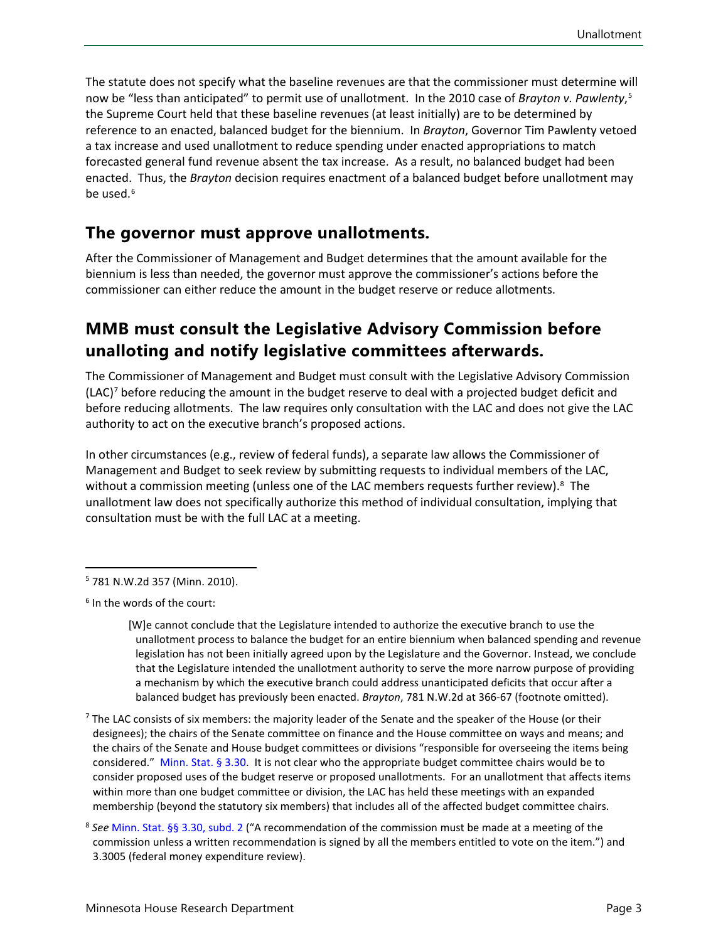The statute does not specify what the baseline revenues are that the commissioner must determine will now be "less than anticipated" to permit use of unallotment. In the 2010 case of *Brayton v. Pawlenty*, [5](#page-2-0) the Supreme Court held that these baseline revenues (at least initially) are to be determined by reference to an enacted, balanced budget for the biennium. In *Brayton*, Governor Tim Pawlenty vetoed a tax increase and used unallotment to reduce spending under enacted appropriations to match forecasted general fund revenue absent the tax increase. As a result, no balanced budget had been enacted. Thus, the *Brayton* decision requires enactment of a balanced budget before unallotment may be used.<sup>[6](#page-2-1)</sup>

#### **The governor must approve unallotments.**

After the Commissioner of Management and Budget determines that the amount available for the biennium is less than needed, the governor must approve the commissioner's actions before the commissioner can either reduce the amount in the budget reserve or reduce allotments.

#### **MMB must consult the Legislative Advisory Commission before unalloting and notify legislative committees afterwards.**

The Commissioner of Management and Budget must consult with the Legislative Advisory Commission (LAC)[7](#page-2-2) before reducing the amount in the budget reserve to deal with a projected budget deficit and before reducing allotments. The law requires only consultation with the LAC and does not give the LAC authority to act on the executive branch's proposed actions.

In other circumstances (e.g., review of federal funds), a separate law allows the Commissioner of Management and Budget to seek review by submitting requests to individual members of the LAC, without a commission meeting (unless one of the LAC members requests further review).<sup>[8](#page-2-3)</sup> The unallotment law does not specifically authorize this method of individual consultation, implying that consultation must be with the full LAC at a meeting.

<span id="page-2-0"></span><sup>5</sup> 781 N.W.2d 357 (Minn. 2010).

<span id="page-2-1"></span><sup>6</sup> In the words of the court:

<sup>[</sup>W]e cannot conclude that the Legislature intended to authorize the executive branch to use the unallotment process to balance the budget for an entire biennium when balanced spending and revenue legislation has not been initially agreed upon by the Legislature and the Governor. Instead, we conclude that the Legislature intended the unallotment authority to serve the more narrow purpose of providing a mechanism by which the executive branch could address unanticipated deficits that occur after a balanced budget has previously been enacted. *Brayton*, 781 N.W.2d at 366-67 (footnote omitted).

<span id="page-2-2"></span> $<sup>7</sup>$  The LAC consists of six members: the majority leader of the Senate and the speaker of the House (or their</sup> designees); the chairs of the Senate committee on finance and the House committee on ways and means; and the chairs of the Senate and House budget committees or divisions "responsible for overseeing the items being considered." [Minn. Stat. § 3.30.](https://www.revisor.mn.gov/statutes/cite/3.30) It is not clear who the appropriate budget committee chairs would be to consider proposed uses of the budget reserve or proposed unallotments. For an unallotment that affects items within more than one budget committee or division, the LAC has held these meetings with an expanded membership (beyond the statutory six members) that includes all of the affected budget committee chairs.

<span id="page-2-3"></span><sup>8</sup> *See* [Minn. Stat. §§ 3.30, subd. 2](https://www.revisor.mn.gov/statutes/cite/3.30) ("A recommendation of the commission must be made at a meeting of the commission unless a written recommendation is signed by all the members entitled to vote on the item.") and 3.3005 (federal money expenditure review).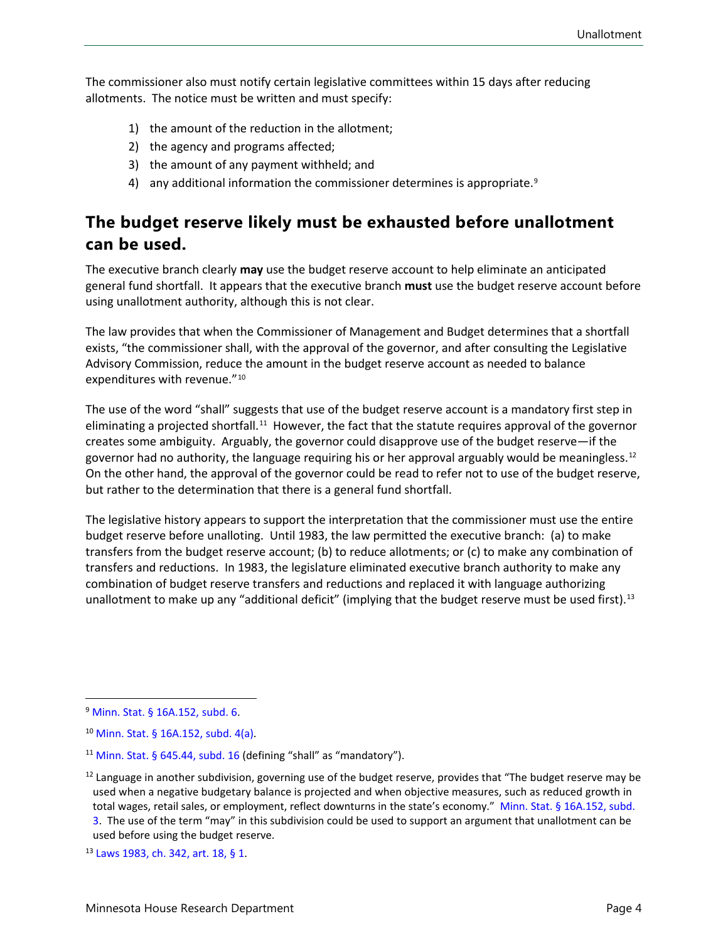The commissioner also must notify certain legislative committees within 15 days after reducing allotments. The notice must be written and must specify:

- 1) the amount of the reduction in the allotment;
- 2) the agency and programs affected;
- 3) the amount of any payment withheld; and
- 4) any additional information the commissioner determines is appropriate.<sup>[9](#page-3-0)</sup>

#### **The budget reserve likely must be exhausted before unallotment can be used.**

The executive branch clearly **may** use the budget reserve account to help eliminate an anticipated general fund shortfall. It appears that the executive branch **must** use the budget reserve account before using unallotment authority, although this is not clear.

The law provides that when the Commissioner of Management and Budget determines that a shortfall exists, "the commissioner shall, with the approval of the governor, and after consulting the Legislative Advisory Commission, reduce the amount in the budget reserve account as needed to balance expenditures with revenue."<sup>[10](#page-3-1)</sup>

The use of the word "shall" suggests that use of the budget reserve account is a mandatory first step in eliminating a projected shortfall.<sup>11</sup> However, the fact that the statute requires approval of the governor creates some ambiguity. Arguably, the governor could disapprove use of the budget reserve—if the governor had no authority, the language requiring his or her approval arguably would be meaningless.<sup>[12](#page-3-3)</sup> On the other hand, the approval of the governor could be read to refer not to use of the budget reserve, but rather to the determination that there is a general fund shortfall.

The legislative history appears to support the interpretation that the commissioner must use the entire budget reserve before unalloting. Until 1983, the law permitted the executive branch: (a) to make transfers from the budget reserve account; (b) to reduce allotments; or (c) to make any combination of transfers and reductions. In 1983, the legislature eliminated executive branch authority to make any combination of budget reserve transfers and reductions and replaced it with language authorizing unallotment to make up any "additional deficit" (implying that the budget reserve must be used first)[.13](#page-3-4) 

<span id="page-3-0"></span><sup>9</sup> [Minn. Stat. § 16A.152,](https://www.revisor.mn.gov/statutes/cite/16a.152) subd. 6.

<span id="page-3-1"></span><sup>10</sup> [Minn. Stat. § 16A.152,](https://www.revisor.mn.gov/statutes/cite/16a.152) subd. 4(a).

<span id="page-3-2"></span> $11$  [Minn. Stat. § 645.44, subd. 16](https://www.revisor.mn.gov/statutes/cite/645.44) (defining "shall" as "mandatory").

<span id="page-3-3"></span> $12$  Language in another subdivision, governing use of the budget reserve, provides that "The budget reserve may be used when a negative budgetary balance is projected and when objective measures, such as reduced growth in total wages, retail sales, or employment, reflect downturns in the state's economy." Minn. Stat. [§ 16A.152, subd.](https://www.revisor.mn.gov/statutes/cite/16a.152) [3](https://www.revisor.mn.gov/statutes/cite/16a.152). The use of the term "may" in this subdivision could be used to support an argument that unallotment can be used before using the budget reserve.

<span id="page-3-4"></span><sup>13</sup> [Laws 1983, ch. 342, art. 18, §](https://www.revisor.mn.gov/laws/1983/0/Session+Law/Chapter/342/) 1.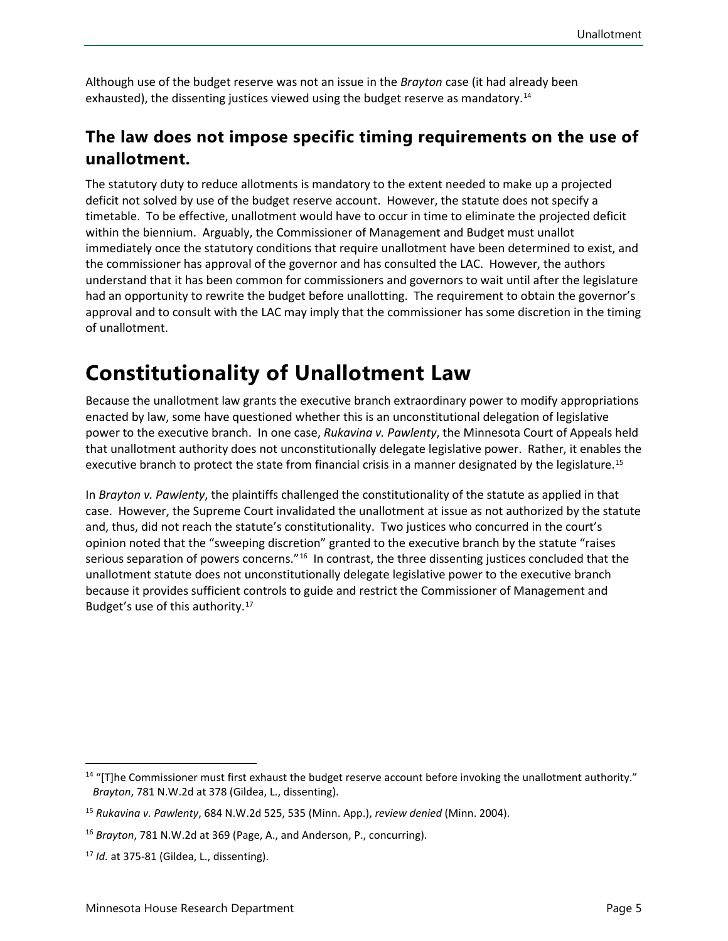Although use of the budget reserve was not an issue in the *Brayton* case (it had already been exhausted), the dissenting justices viewed using the budget reserve as mandatory.<sup>[14](#page-4-1)</sup>

#### **The law does not impose specific timing requirements on the use of unallotment.**

The statutory duty to reduce allotments is mandatory to the extent needed to make up a projected deficit not solved by use of the budget reserve account. However, the statute does not specify a timetable. To be effective, unallotment would have to occur in time to eliminate the projected deficit within the biennium. Arguably, the Commissioner of Management and Budget must unallot immediately once the statutory conditions that require unallotment have been determined to exist, and the commissioner has approval of the governor and has consulted the LAC. However, the authors understand that it has been common for commissioners and governors to wait until after the legislature had an opportunity to rewrite the budget before unallotting. The requirement to obtain the governor's approval and to consult with the LAC may imply that the commissioner has some discretion in the timing of unallotment.

# <span id="page-4-0"></span>**Constitutionality of Unallotment Law**

Because the unallotment law grants the executive branch extraordinary power to modify appropriations enacted by law, some have questioned whether this is an unconstitutional delegation of legislative power to the executive branch. In one case, *Rukavina v. Pawlenty*, the Minnesota Court of Appeals held that unallotment authority does not unconstitutionally delegate legislative power. Rather, it enables the executive branch to protect the state from financial crisis in a manner designated by the legislature.<sup>[15](#page-4-2)</sup>

In *Brayton v. Pawlenty*, the plaintiffs challenged the constitutionality of the statute as applied in that case. However, the Supreme Court invalidated the unallotment at issue as not authorized by the statute and, thus, did not reach the statute's constitutionality. Two justices who concurred in the court's opinion noted that the "sweeping discretion" granted to the executive branch by the statute "raises serious separation of powers concerns."<sup>16</sup> In contrast, the three dissenting justices concluded that the unallotment statute does not unconstitutionally delegate legislative power to the executive branch because it provides sufficient controls to guide and restrict the Commissioner of Management and Budget's use of this authority.[17](#page-4-4)

<span id="page-4-1"></span><sup>&</sup>lt;sup>14</sup> "[T]he Commissioner must first exhaust the budget reserve account before invoking the unallotment authority." *Brayton*, 781 N.W.2d at 378 (Gildea, L., dissenting).

<span id="page-4-2"></span><sup>15</sup> *Rukavina v. Pawlenty*, 684 N.W.2d 525, 535 (Minn. App.), *review denied* (Minn. 2004).

<span id="page-4-3"></span><sup>16</sup> *Brayton*, 781 N.W.2d at 369 (Page, A., and Anderson, P., concurring).

<span id="page-4-4"></span><sup>17</sup> *Id.* at 375-81 (Gildea, L., dissenting).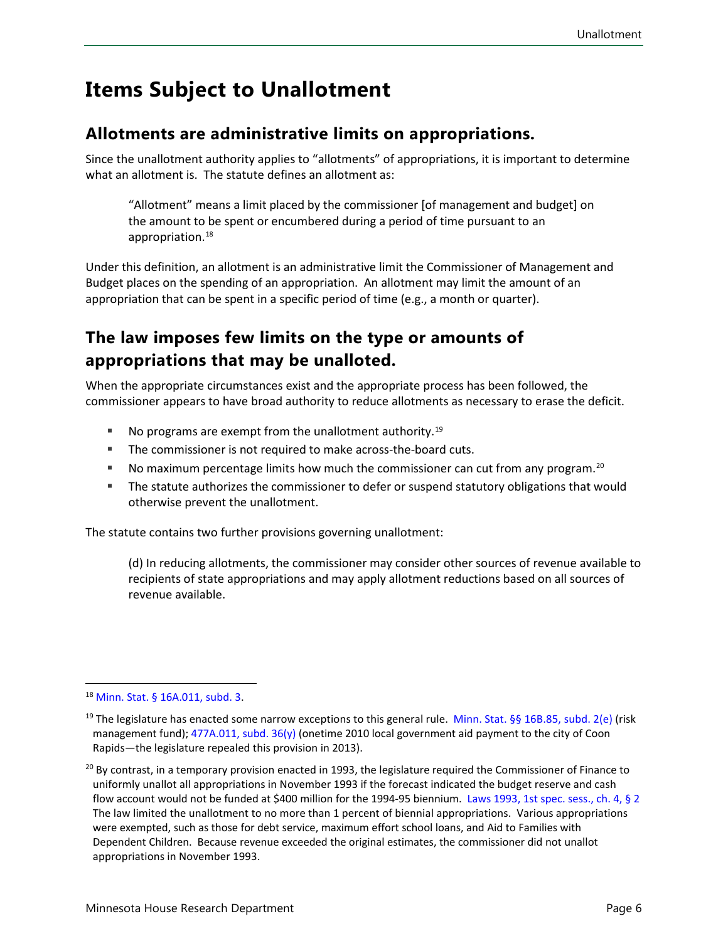### <span id="page-5-0"></span>**Items Subject to Unallotment**

#### **Allotments are administrative limits on appropriations.**

Since the unallotment authority applies to "allotments" of appropriations, it is important to determine what an allotment is. The statute defines an allotment as:

"Allotment" means a limit placed by the commissioner [of management and budget] on the amount to be spent or encumbered during a period of time pursuant to an appropriation.[18](#page-5-1)

Under this definition, an allotment is an administrative limit the Commissioner of Management and Budget places on the spending of an appropriation. An allotment may limit the amount of an appropriation that can be spent in a specific period of time (e.g., a month or quarter).

#### **The law imposes few limits on the type or amounts of appropriations that may be unalloted.**

When the appropriate circumstances exist and the appropriate process has been followed, the commissioner appears to have broad authority to reduce allotments as necessary to erase the deficit.

- No programs are exempt from the unallotment authority.<sup>[19](#page-5-2)</sup>
- **The commissioner is not required to make across-the-board cuts.**
- No maximum percentage limits how much the commissioner can cut from any program.[20](#page-5-3)
- **The statute authorizes the commissioner to defer or suspend statutory obligations that would** otherwise prevent the unallotment.

The statute contains two further provisions governing unallotment:

(d) In reducing allotments, the commissioner may consider other sources of revenue available to recipients of state appropriations and may apply allotment reductions based on all sources of revenue available.

<span id="page-5-1"></span><sup>18</sup> [Minn. Stat. § 16A.011,](https://www.revisor.mn.gov/statutes/cite/16A.011) subd. 3.

<span id="page-5-2"></span><sup>&</sup>lt;sup>19</sup> The legislature has enacted some narrow exceptions to this general rule. [Minn. Stat. §§](https://www.revisor.mn.gov/statutes/cite/16B.85) 16B.85, subd. 2(e) (risk management fund); [477A.011, subd. 36\(y\)](https://www.revisor.mn.gov/statutes/cite/477A.011) (onetime 2010 local government aid payment to the city of Coon Rapids—the legislature repealed this provision in 2013).

<span id="page-5-3"></span><sup>&</sup>lt;sup>20</sup> By contrast, in a temporary provision enacted in 1993, the legislature required the Commissioner of Finance to uniformly unallot all appropriations in November 1993 if the forecast indicated the budget reserve and cash flow account would not be funded at \$400 million for the 1994-95 biennium. [Laws 1993, 1st spec. sess., ch. 4, §](https://www.revisor.mn.gov/laws/1993/1/Session+Law/Chapter/4/) 2 The law limited the unallotment to no more than 1 percent of biennial appropriations. Various appropriations were exempted, such as those for debt service, maximum effort school loans, and Aid to Families with Dependent Children. Because revenue exceeded the original estimates, the commissioner did not unallot appropriations in November 1993.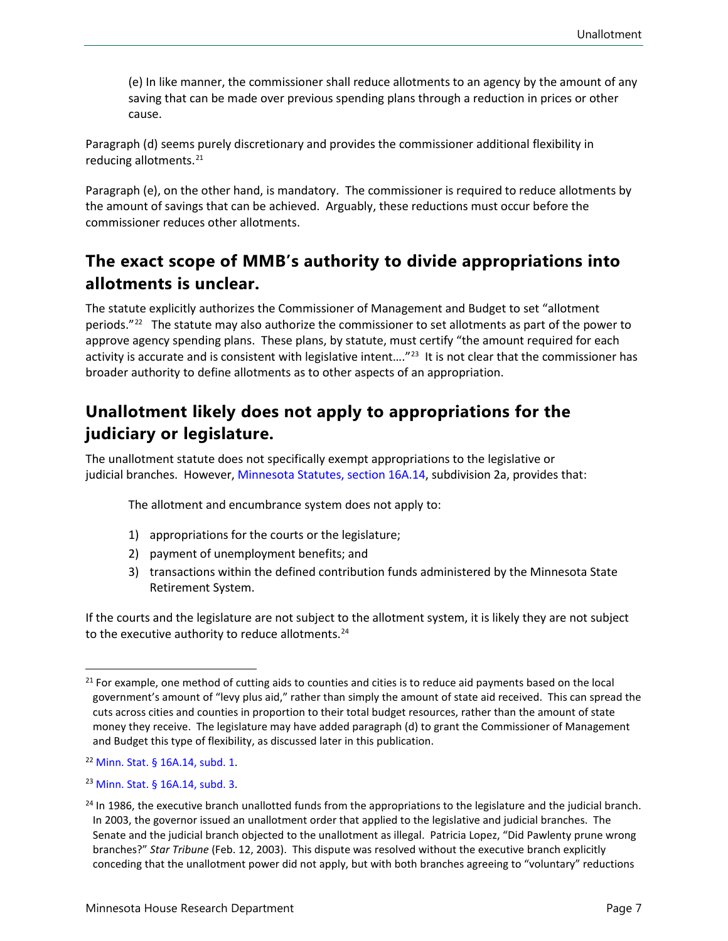(e) In like manner, the commissioner shall reduce allotments to an agency by the amount of any saving that can be made over previous spending plans through a reduction in prices or other cause.

Paragraph (d) seems purely discretionary and provides the commissioner additional flexibility in reducing allotments.[21](#page-6-0)

Paragraph (e), on the other hand, is mandatory. The commissioner is required to reduce allotments by the amount of savings that can be achieved. Arguably, these reductions must occur before the commissioner reduces other allotments.

#### **The exact scope of MMB's authority to divide appropriations into allotments is unclear.**

The statute explicitly authorizes the Commissioner of Management and Budget to set "allotment periods."<sup>22</sup> The statute may also authorize the commissioner to set allotments as part of the power to approve agency spending plans. These plans, by statute, must certify "the amount required for each activity is accurate and is consistent with legislative intent...."<sup>[23](#page-6-2)</sup> It is not clear that the commissioner has broader authority to define allotments as to other aspects of an appropriation.

#### **Unallotment likely does not apply to appropriations for the judiciary or legislature.**

The unallotment statute does not specifically exempt appropriations to the legislative or judicial branches. However, [Minnesota Statutes,](https://www.revisor.mn.gov/statutes/cite/16A.14) section 16A.14, subdivision 2a, provides that:

The allotment and encumbrance system does not apply to:

- 1) appropriations for the courts or the legislature;
- 2) payment of unemployment benefits; and
- 3) transactions within the defined contribution funds administered by the Minnesota State Retirement System.

If the courts and the legislature are not subject to the allotment system, it is likely they are not subject to the executive authority to reduce allotments.<sup>24</sup>

<span id="page-6-0"></span><sup>&</sup>lt;sup>21</sup> For example, one method of cutting aids to counties and cities is to reduce aid payments based on the local government's amount of "levy plus aid," rather than simply the amount of state aid received. This can spread the cuts across cities and counties in proportion to their total budget resources, rather than the amount of state money they receive. The legislature may have added paragraph (d) to grant the Commissioner of Management and Budget this type of flexibility, as discussed later in this publication.

<span id="page-6-1"></span><sup>22</sup> [Minn. Stat. § 16A.14, subd. 1.](https://www.revisor.mn.gov/statutes/cite/16A.14)

<span id="page-6-2"></span><sup>23</sup> [Minn. Stat. § 16A.14, subd. 3](https://www.revisor.mn.gov/statutes/cite/16A.14).

<span id="page-6-3"></span><sup>&</sup>lt;sup>24</sup> In 1986, the executive branch unallotted funds from the appropriations to the legislature and the judicial branch. In 2003, the governor issued an unallotment order that applied to the legislative and judicial branches. The Senate and the judicial branch objected to the unallotment as illegal. Patricia Lopez, "Did Pawlenty prune wrong branches?" *Star Tribune* (Feb. 12, 2003). This dispute was resolved without the executive branch explicitly conceding that the unallotment power did not apply, but with both branches agreeing to "voluntary" reductions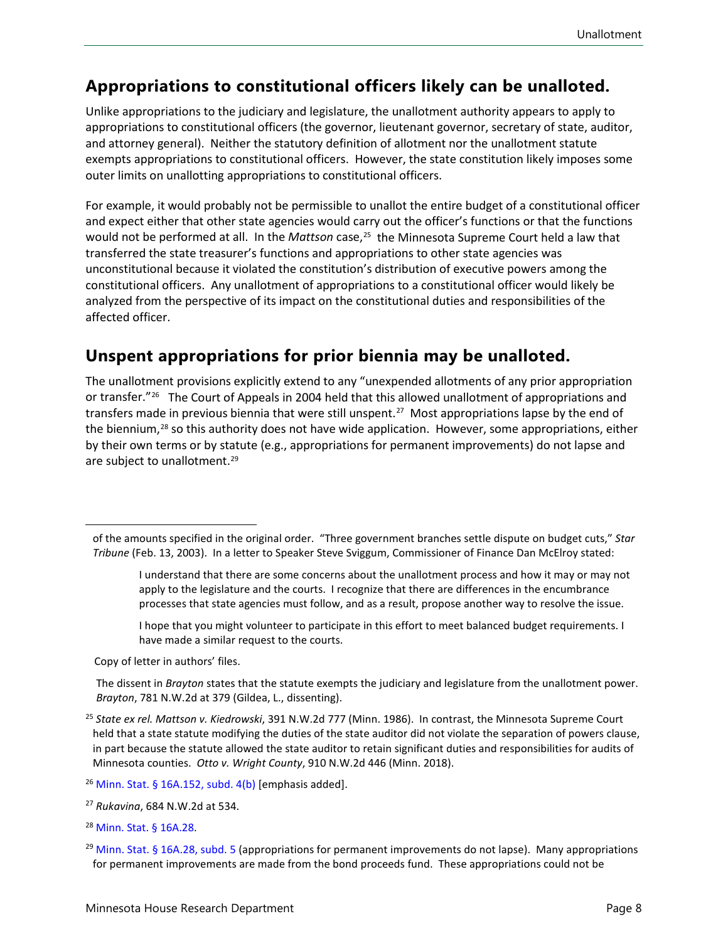#### **Appropriations to constitutional officers likely can be unalloted.**

Unlike appropriations to the judiciary and legislature, the unallotment authority appears to apply to appropriations to constitutional officers (the governor, lieutenant governor, secretary of state, auditor, and attorney general). Neither the statutory definition of allotment nor the unallotment statute exempts appropriations to constitutional officers. However, the state constitution likely imposes some outer limits on unallotting appropriations to constitutional officers.

For example, it would probably not be permissible to unallot the entire budget of a constitutional officer and expect either that other state agencies would carry out the officer's functions or that the functions would not be performed at all. In the *Mattson* case,[25](#page-7-0) the Minnesota Supreme Court held a law that transferred the state treasurer's functions and appropriations to other state agencies was unconstitutional because it violated the constitution's distribution of executive powers among the constitutional officers. Any unallotment of appropriations to a constitutional officer would likely be analyzed from the perspective of its impact on the constitutional duties and responsibilities of the affected officer.

#### **Unspent appropriations for prior biennia may be unalloted.**

The unallotment provisions explicitly extend to any "unexpended allotments of any prior appropriation or transfer."<sup>[26](#page-7-1)</sup> The Court of Appeals in 2004 held that this allowed unallotment of appropriations and transfers made in previous biennia that were still unspent.[27](#page-7-2) Most appropriations lapse by the end of the biennium,<sup>[28](#page-7-3)</sup> so this authority does not have wide application. However, some appropriations, either by their own terms or by statute (e.g., appropriations for permanent improvements) do not lapse and are subject to unallotment.<sup>[29](#page-7-4)</sup>

I hope that you might volunteer to participate in this effort to meet balanced budget requirements. I have made a similar request to the courts.

Copy of letter in authors' files.

The dissent in *Brayton* states that the statute exempts the judiciary and legislature from the unallotment power. *Brayton*, 781 N.W.2d at 379 (Gildea, L., dissenting).

- <span id="page-7-2"></span><sup>27</sup> *Rukavina*, 684 N.W.2d at 534.
- <span id="page-7-3"></span><sup>28</sup> [Minn. Stat. § 16A.28](https://www.revisor.mn.gov/statutes/cite/16A.28).

of the amounts specified in the original order. "Three government branches settle dispute on budget cuts," *Star Tribune* (Feb. 13, 2003). In a letter to Speaker Steve Sviggum, Commissioner of Finance Dan McElroy stated:

I understand that there are some concerns about the unallotment process and how it may or may not apply to the legislature and the courts. I recognize that there are differences in the encumbrance processes that state agencies must follow, and as a result, propose another way to resolve the issue.

<span id="page-7-0"></span><sup>25</sup> *State ex rel. Mattson v. Kiedrowski*, 391 N.W.2d 777 (Minn. 1986). In contrast, the Minnesota Supreme Court held that a state statute modifying the duties of the state auditor did not violate the separation of powers clause, in part because the statute allowed the state auditor to retain significant duties and responsibilities for audits of Minnesota counties. *Otto v. Wright County*, 910 N.W.2d 446 (Minn. 2018).

<span id="page-7-1"></span> $26$  [Minn. Stat. § 16A.152,](https://www.revisor.mn.gov/statutes/cite/16a.152) subd. 4(b) [emphasis added].

<span id="page-7-4"></span> $29$  [Minn. Stat. § 16A.28, subd. 5](https://www.revisor.mn.gov/statutes/cite/16A.28) (appropriations for permanent improvements do not lapse). Many appropriations for permanent improvements are made from the bond proceeds fund. These appropriations could not be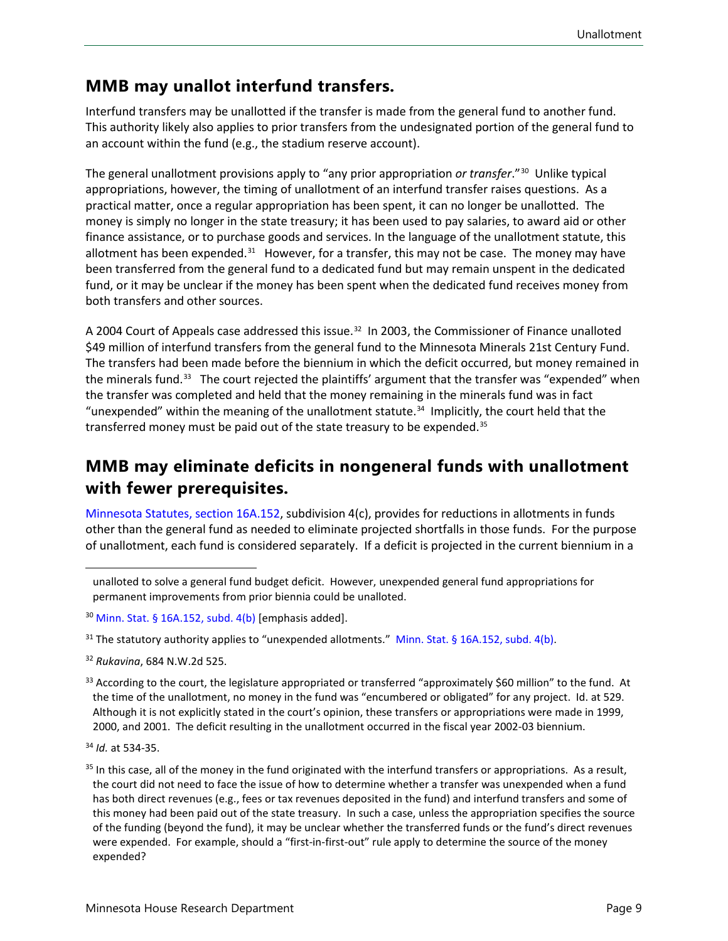#### **MMB may unallot interfund transfers.**

Interfund transfers may be unallotted if the transfer is made from the general fund to another fund. This authority likely also applies to prior transfers from the undesignated portion of the general fund to an account within the fund (e.g., the stadium reserve account).

The general unallotment provisions apply to "any prior appropriation *or transfer*."[30](#page-8-0) Unlike typical appropriations, however, the timing of unallotment of an interfund transfer raises questions. As a practical matter, once a regular appropriation has been spent, it can no longer be unallotted. The money is simply no longer in the state treasury; it has been used to pay salaries, to award aid or other finance assistance, or to purchase goods and services. In the language of the unallotment statute, this allotment has been expended. $31$  However, for a transfer, this may not be case. The money may have been transferred from the general fund to a dedicated fund but may remain unspent in the dedicated fund, or it may be unclear if the money has been spent when the dedicated fund receives money from both transfers and other sources.

A 2004 Court of Appeals case addressed this issue.<sup>[32](#page-8-2)</sup> In 2003, the Commissioner of Finance unalloted \$49 million of interfund transfers from the general fund to the Minnesota Minerals 21st Century Fund. The transfers had been made before the biennium in which the deficit occurred, but money remained in the minerals fund.<sup>33</sup> The court rejected the plaintiffs' argument that the transfer was "expended" when the transfer was completed and held that the money remaining in the minerals fund was in fact "unexpended" within the meaning of the unallotment statute. $34$  Implicitly, the court held that the transferred money must be paid out of the state treasury to be expended.<sup>[35](#page-8-5)</sup>

#### **MMB may eliminate deficits in nongeneral funds with unallotment with fewer prerequisites.**

[Minnesota Statutes, section 16A.152,](https://www.revisor.mn.gov/statutes/cite/16a.152) subdivision 4(c), provides for reductions in allotments in funds other than the general fund as needed to eliminate projected shortfalls in those funds. For the purpose of unallotment, each fund is considered separately. If a deficit is projected in the current biennium in a

unalloted to solve a general fund budget deficit. However, unexpended general fund appropriations for permanent improvements from prior biennia could be unalloted.

<span id="page-8-0"></span> $30$  [Minn. Stat. § 16A.152,](https://www.revisor.mn.gov/statutes/cite/16a.152) subd. 4(b) [emphasis added].

<span id="page-8-1"></span><sup>&</sup>lt;sup>31</sup> The statutory authority applies to "unexpended allotments." [Minn. Stat. § 16A.152, subd. 4\(b\).](https://www.revisor.mn.gov/statutes/cite/16a.152)

<span id="page-8-2"></span><sup>32</sup> *Rukavina*, 684 N.W.2d 525.

<span id="page-8-3"></span> $33$  According to the court, the legislature appropriated or transferred "approximately \$60 million" to the fund. At the time of the unallotment, no money in the fund was "encumbered or obligated" for any project. Id. at 529. Although it is not explicitly stated in the court's opinion, these transfers or appropriations were made in 1999, 2000, and 2001. The deficit resulting in the unallotment occurred in the fiscal year 2002-03 biennium.

<span id="page-8-4"></span><sup>34</sup> *Id.* at 534-35.

<span id="page-8-5"></span> $35$  In this case, all of the money in the fund originated with the interfund transfers or appropriations. As a result, the court did not need to face the issue of how to determine whether a transfer was unexpended when a fund has both direct revenues (e.g., fees or tax revenues deposited in the fund) and interfund transfers and some of this money had been paid out of the state treasury. In such a case, unless the appropriation specifies the source of the funding (beyond the fund), it may be unclear whether the transferred funds or the fund's direct revenues were expended. For example, should a "first-in-first-out" rule apply to determine the source of the money expended?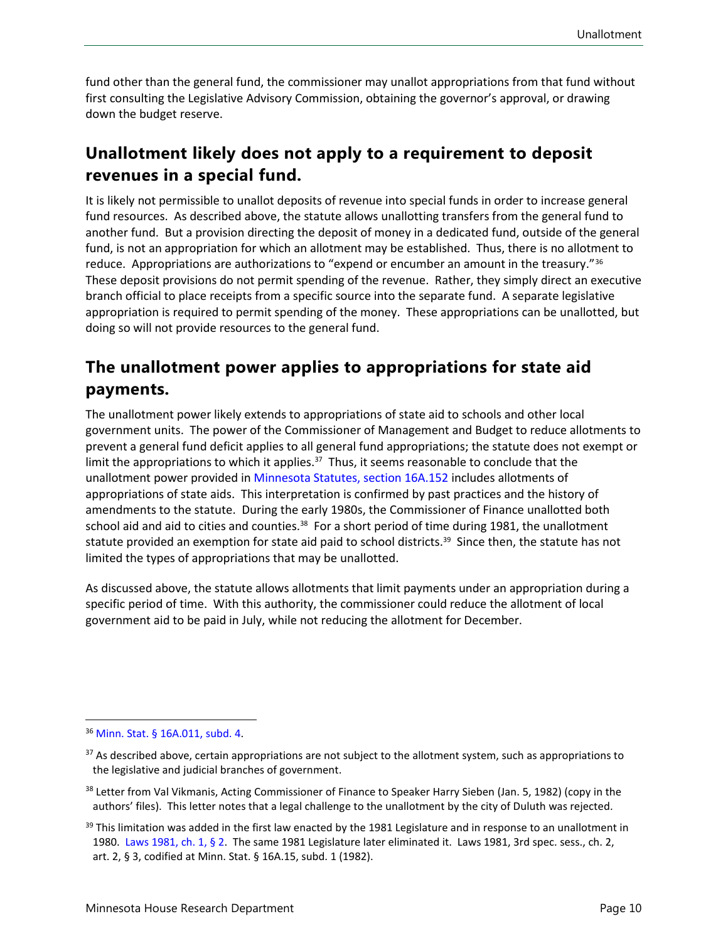fund other than the general fund, the commissioner may unallot appropriations from that fund without first consulting the Legislative Advisory Commission, obtaining the governor's approval, or drawing down the budget reserve.

#### **Unallotment likely does not apply to a requirement to deposit revenues in a special fund.**

It is likely not permissible to unallot deposits of revenue into special funds in order to increase general fund resources. As described above, the statute allows unallotting transfers from the general fund to another fund. But a provision directing the deposit of money in a dedicated fund, outside of the general fund, is not an appropriation for which an allotment may be established. Thus, there is no allotment to reduce. Appropriations are authorizations to "expend or encumber an amount in the treasury."[36](#page-9-0) These deposit provisions do not permit spending of the revenue. Rather, they simply direct an executive branch official to place receipts from a specific source into the separate fund. A separate legislative appropriation is required to permit spending of the money. These appropriations can be unallotted, but doing so will not provide resources to the general fund.

#### **The unallotment power applies to appropriations for state aid payments.**

The unallotment power likely extends to appropriations of state aid to schools and other local government units. The power of the Commissioner of Management and Budget to reduce allotments to prevent a general fund deficit applies to all general fund appropriations; the statute does not exempt or limit the appropriations to which it applies.<sup>[37](#page-9-1)</sup> Thus, it seems reasonable to conclude that the unallotment power provided in [Minnesota Statutes, section 16A.152](https://www.revisor.mn.gov/statutes/cite/16a.152) includes allotments of appropriations of state aids. This interpretation is confirmed by past practices and the history of amendments to the statute. During the early 1980s, the Commissioner of Finance unallotted both school aid and aid to cities and counties.<sup>[38](#page-9-2)</sup> For a short period of time during 1981, the unallotment statute provided an exemption for state aid paid to school districts.<sup>[39](#page-9-3)</sup> Since then, the statute has not limited the types of appropriations that may be unallotted.

As discussed above, the statute allows allotments that limit payments under an appropriation during a specific period of time. With this authority, the commissioner could reduce the allotment of local government aid to be paid in July, while not reducing the allotment for December.

<span id="page-9-0"></span><sup>36</sup> [Minn. Stat. § 16A.011,](https://www.revisor.mn.gov/statutes/cite/16A.011) subd. 4.

<span id="page-9-1"></span><sup>&</sup>lt;sup>37</sup> As described above, certain appropriations are not subject to the allotment system, such as appropriations to the legislative and judicial branches of government.

<span id="page-9-2"></span><sup>&</sup>lt;sup>38</sup> Letter from Val Vikmanis, Acting Commissioner of Finance to Speaker Harry Sieben (Jan. 5, 1982) (copy in the authors' files). This letter notes that a legal challenge to the unallotment by the city of Duluth was rejected.

<span id="page-9-3"></span> $39$  This limitation was added in the first law enacted by the 1981 Legislature and in response to an unallotment in 1980. [Laws 1981, ch. 1, § 2.](https://www.revisor.mn.gov/laws/1981/0/Session+Law/Chapter/1/pdf/) The same 1981 Legislature later eliminated it. Laws 1981, 3rd spec. sess., ch. 2, art. 2, § 3, codified at Minn. Stat. § 16A.15, subd. 1 (1982).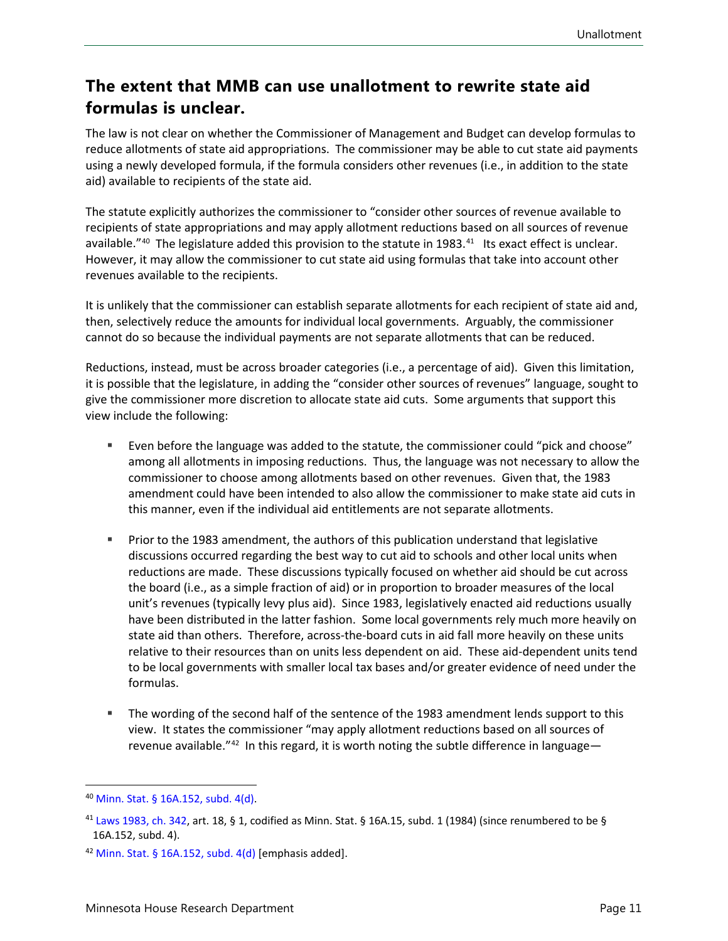#### **The extent that MMB can use unallotment to rewrite state aid formulas is unclear.**

The law is not clear on whether the Commissioner of Management and Budget can develop formulas to reduce allotments of state aid appropriations. The commissioner may be able to cut state aid payments using a newly developed formula, if the formula considers other revenues (i.e., in addition to the state aid) available to recipients of the state aid.

The statute explicitly authorizes the commissioner to "consider other sources of revenue available to recipients of state appropriations and may apply allotment reductions based on all sources of revenue available."<sup>[40](#page-10-0)</sup> The legislature added this provision to the statute in 1983.<sup>41</sup> Its exact effect is unclear. However, it may allow the commissioner to cut state aid using formulas that take into account other revenues available to the recipients.

It is unlikely that the commissioner can establish separate allotments for each recipient of state aid and, then, selectively reduce the amounts for individual local governments. Arguably, the commissioner cannot do so because the individual payments are not separate allotments that can be reduced.

Reductions, instead, must be across broader categories (i.e., a percentage of aid). Given this limitation, it is possible that the legislature, in adding the "consider other sources of revenues" language, sought to give the commissioner more discretion to allocate state aid cuts. Some arguments that support this view include the following:

- Even before the language was added to the statute, the commissioner could "pick and choose" among all allotments in imposing reductions. Thus, the language was not necessary to allow the commissioner to choose among allotments based on other revenues. Given that, the 1983 amendment could have been intended to also allow the commissioner to make state aid cuts in this manner, even if the individual aid entitlements are not separate allotments.
- Prior to the 1983 amendment, the authors of this publication understand that legislative discussions occurred regarding the best way to cut aid to schools and other local units when reductions are made. These discussions typically focused on whether aid should be cut across the board (i.e., as a simple fraction of aid) or in proportion to broader measures of the local unit's revenues (typically levy plus aid). Since 1983, legislatively enacted aid reductions usually have been distributed in the latter fashion. Some local governments rely much more heavily on state aid than others. Therefore, across-the-board cuts in aid fall more heavily on these units relative to their resources than on units less dependent on aid. These aid-dependent units tend to be local governments with smaller local tax bases and/or greater evidence of need under the formulas.
- The wording of the second half of the sentence of the 1983 amendment lends support to this view. It states the commissioner "may apply allotment reductions based on all sources of revenue available."<sup>[42](#page-10-2)</sup> In this regard, it is worth noting the subtle difference in language—

<span id="page-10-0"></span><sup>40</sup> [Minn. Stat. § 16A.152,](https://www.revisor.mn.gov/statutes/cite/16a.152) subd. 4(d).

<span id="page-10-1"></span><sup>&</sup>lt;sup>41</sup> [Laws 1983, ch. 342](https://www.revisor.mn.gov/laws/1983/0/Session+Law/Chapter/342/), art. 18, § 1, codified as Minn. Stat. § 16A.15, subd. 1 (1984) (since renumbered to be § 16A.152, subd. 4).

<span id="page-10-2"></span><sup>&</sup>lt;sup>42</sup> [Minn. Stat. § 16A.152,](https://www.revisor.mn.gov/statutes/cite/16a.152) subd.  $4(d)$  [emphasis added].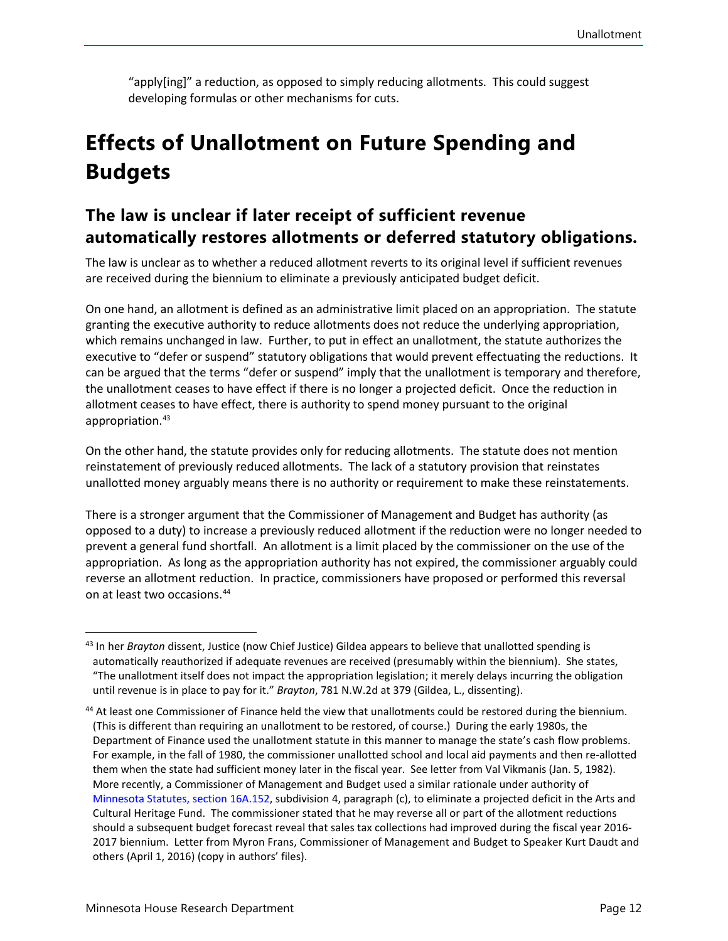"apply[ing]" a reduction, as opposed to simply reducing allotments. This could suggest developing formulas or other mechanisms for cuts.

# <span id="page-11-0"></span>**Effects of Unallotment on Future Spending and Budgets**

#### **The law is unclear if later receipt of sufficient revenue automatically restores allotments or deferred statutory obligations.**

The law is unclear as to whether a reduced allotment reverts to its original level if sufficient revenues are received during the biennium to eliminate a previously anticipated budget deficit.

On one hand, an allotment is defined as an administrative limit placed on an appropriation. The statute granting the executive authority to reduce allotments does not reduce the underlying appropriation, which remains unchanged in law. Further, to put in effect an unallotment, the statute authorizes the executive to "defer or suspend" statutory obligations that would prevent effectuating the reductions. It can be argued that the terms "defer or suspend" imply that the unallotment is temporary and therefore, the unallotment ceases to have effect if there is no longer a projected deficit. Once the reduction in allotment ceases to have effect, there is authority to spend money pursuant to the original appropriation.[43](#page-11-1)

On the other hand, the statute provides only for reducing allotments. The statute does not mention reinstatement of previously reduced allotments. The lack of a statutory provision that reinstates unallotted money arguably means there is no authority or requirement to make these reinstatements.

There is a stronger argument that the Commissioner of Management and Budget has authority (as opposed to a duty) to increase a previously reduced allotment if the reduction were no longer needed to prevent a general fund shortfall. An allotment is a limit placed by the commissioner on the use of the appropriation. As long as the appropriation authority has not expired, the commissioner arguably could reverse an allotment reduction. In practice, commissioners have proposed or performed this reversal on at least two occasions[.44](#page-11-2)

<span id="page-11-1"></span><sup>43</sup> In her *Brayton* dissent, Justice (now Chief Justice) Gildea appears to believe that unallotted spending is automatically reauthorized if adequate revenues are received (presumably within the biennium). She states, "The unallotment itself does not impact the appropriation legislation; it merely delays incurring the obligation until revenue is in place to pay for it." *Brayton*, 781 N.W.2d at 379 (Gildea, L., dissenting).

<span id="page-11-2"></span><sup>44</sup> At least one Commissioner of Finance held the view that unallotments could be restored during the biennium. (This is different than requiring an unallotment to be restored, of course.) During the early 1980s, the Department of Finance used the unallotment statute in this manner to manage the state's cash flow problems. For example, in the fall of 1980, the commissioner unallotted school and local aid payments and then re-allotted them when the state had sufficient money later in the fiscal year. See letter from Val Vikmanis (Jan. 5, 1982). More recently, a Commissioner of Management and Budget used a similar rationale under authority of [Minnesota Statutes,](https://www.revisor.mn.gov/statutes/cite/16a.152) section 16A.152, subdivision 4, paragraph (c), to eliminate a projected deficit in the Arts and Cultural Heritage Fund. The commissioner stated that he may reverse all or part of the allotment reductions should a subsequent budget forecast reveal that sales tax collections had improved during the fiscal year 2016- 2017 biennium. Letter from Myron Frans, Commissioner of Management and Budget to Speaker Kurt Daudt and others (April 1, 2016) (copy in authors' files).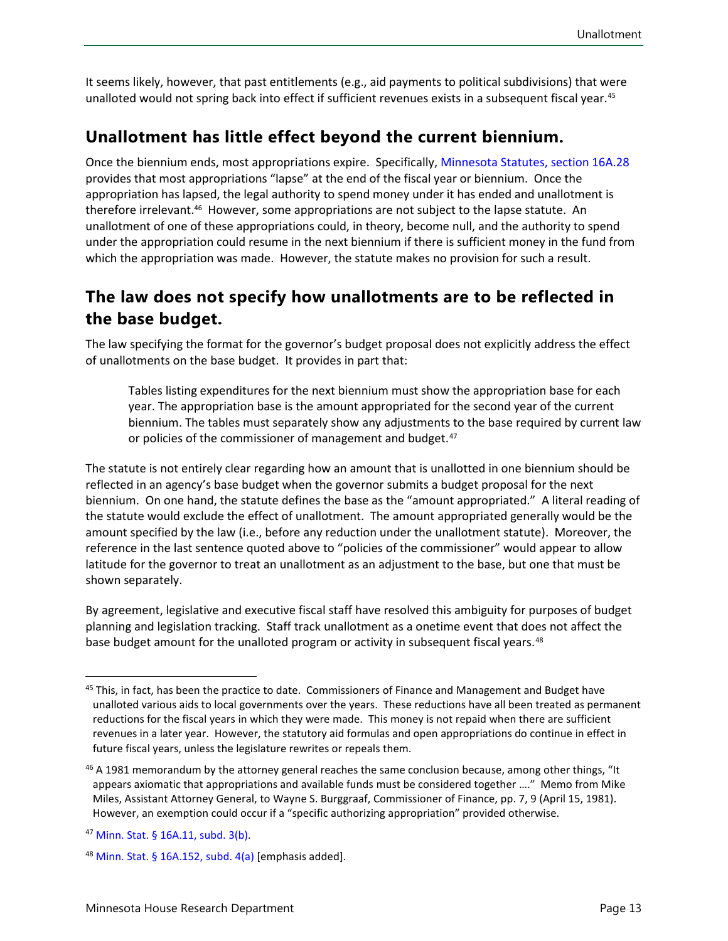It seems likely, however, that past entitlements (e.g., aid payments to political subdivisions) that were unalloted would not spring back into effect if sufficient revenues exists in a subsequent fiscal year.<sup>45</sup>

#### **Unallotment has little effect beyond the current biennium.**

Once the biennium ends, most appropriations expire. Specifically, Minnesota Statutes, section 16A.28 provides that most appropriations "lapse" at the end of the fiscal year or biennium. Once the appropriation has lapsed, the legal authority to spend money under it has ended and unallotment is therefore irrelevant.<sup>[46](#page-12-1)</sup> However, some appropriations are not subject to the lapse statute. An unallotment of one of these appropriations could, in theory, become null, and the authority to spend under the appropriation could resume in the next biennium if there is sufficient money in the fund from which the appropriation was made. However, the statute makes no provision for such a result.

#### **The law does not specify how unallotments are to be reflected in the base budget.**

The law specifying the format for the governor's budget proposal does not explicitly address the effect of unallotments on the base budget. It provides in part that:

Tables listing expenditures for the next biennium must show the appropriation base for each year. The appropriation base is the amount appropriated for the second year of the current biennium. The tables must separately show any adjustments to the base required by current law or policies of the commissioner of management and budget.<sup>47</sup>

The statute is not entirely clear regarding how an amount that is unallotted in one biennium should be reflected in an agency's base budget when the governor submits a budget proposal for the next biennium. On one hand, the statute defines the base as the "amount appropriated." A literal reading of the statute would exclude the effect of unallotment. The amount appropriated generally would be the amount specified by the law (i.e., before any reduction under the unallotment statute). Moreover, the reference in the last sentence quoted above to "policies of the commissioner" would appear to allow latitude for the governor to treat an unallotment as an adjustment to the base, but one that must be shown separately.

By agreement, legislative and executive fiscal staff have resolved this ambiguity for purposes of budget planning and legislation tracking. Staff track unallotment as a onetime event that does not affect the base budget amount for the unalloted program or activity in subsequent fiscal years.<sup>[48](#page-12-3)</sup>

<span id="page-12-0"></span><sup>&</sup>lt;sup>45</sup> This, in fact, has been the practice to date. Commissioners of Finance and Management and Budget have unalloted various aids to local governments over the years. These reductions have all been treated as permanent reductions for the fiscal years in which they were made. This money is not repaid when there are sufficient revenues in a later year. However, the statutory aid formulas and open appropriations do continue in effect in future fiscal years, unless the legislature rewrites or repeals them.

<span id="page-12-1"></span><sup>&</sup>lt;sup>46</sup> A 1981 memorandum by the attorney general reaches the same conclusion because, among other things, "It appears axiomatic that appropriations and available funds must be considered together …." Memo from Mike Miles, Assistant Attorney General, to Wayne S. Burggraaf, Commissioner of Finance, pp. 7, 9 (April 15, 1981). However, an exemption could occur if a "specific authorizing appropriation" provided otherwise.

<span id="page-12-2"></span><sup>47</sup> [Minn. Stat. § 16A.11, subd. 3\(b\).](https://www.revisor.mn.gov/statutes/cite/16A.11)

<span id="page-12-3"></span><sup>&</sup>lt;sup>48</sup> [Minn. Stat. § 16A.152,](https://www.revisor.mn.gov/statutes/cite/16a.152) subd.  $4(a)$  [emphasis added].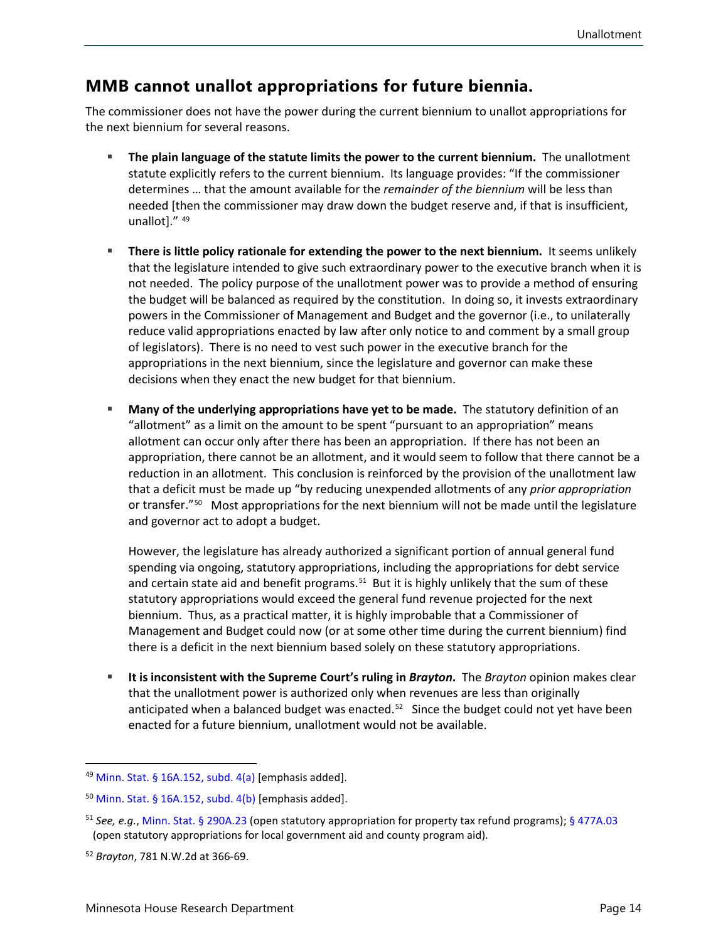#### **MMB cannot unallot appropriations for future biennia.**

The commissioner does not have the power during the current biennium to unallot appropriations for the next biennium for several reasons.

- **The plain language of the statute limits the power to the current biennium.** The unallotment statute explicitly refers to the current biennium. Its language provides: "If the commissioner determines … that the amount available for the *remainder of the biennium* will be less than needed [then the commissioner may draw down the budget reserve and, if that is insufficient, unallot]." [49](#page-13-0)
- **There is little policy rationale for extending the power to the next biennium.** It seems unlikely that the legislature intended to give such extraordinary power to the executive branch when it is not needed. The policy purpose of the unallotment power was to provide a method of ensuring the budget will be balanced as required by the constitution. In doing so, it invests extraordinary powers in the Commissioner of Management and Budget and the governor (i.e., to unilaterally reduce valid appropriations enacted by law after only notice to and comment by a small group of legislators). There is no need to vest such power in the executive branch for the appropriations in the next biennium, since the legislature and governor can make these decisions when they enact the new budget for that biennium.
- **Many of the underlying appropriations have yet to be made.** The statutory definition of an "allotment" as a limit on the amount to be spent "pursuant to an appropriation" means allotment can occur only after there has been an appropriation. If there has not been an appropriation, there cannot be an allotment, and it would seem to follow that there cannot be a reduction in an allotment. This conclusion is reinforced by the provision of the unallotment law that a deficit must be made up "by reducing unexpended allotments of any *prior appropriation* or transfer."<sup>[50](#page-13-1)</sup> Most appropriations for the next biennium will not be made until the legislature and governor act to adopt a budget.

However, the legislature has already authorized a significant portion of annual general fund spending via ongoing, statutory appropriations, including the appropriations for debt service and certain state aid and benefit programs.<sup>[51](#page-13-2)</sup> But it is highly unlikely that the sum of these statutory appropriations would exceed the general fund revenue projected for the next biennium. Thus, as a practical matter, it is highly improbable that a Commissioner of Management and Budget could now (or at some other time during the current biennium) find there is a deficit in the next biennium based solely on these statutory appropriations.

 **It is inconsistent with the Supreme Court's ruling in** *Brayton***.** The *Brayton* opinion makes clear that the unallotment power is authorized only when revenues are less than originally anticipated when a balanced budget was enacted.<sup>[52](#page-13-3)</sup> Since the budget could not yet have been enacted for a future biennium, unallotment would not be available.

<span id="page-13-0"></span><sup>&</sup>lt;sup>49</sup> [Minn. Stat. § 16A.152,](https://www.revisor.mn.gov/statutes/cite/16a.152) subd.  $4(a)$  [emphasis added].

<span id="page-13-1"></span> $50$  [Minn. Stat. § 16A.152,](https://www.revisor.mn.gov/statutes/cite/16a.152) subd. 4(b) [emphasis added].

<span id="page-13-2"></span><sup>51</sup> *See, e.g.*, [Minn. Stat. § 290A.23](https://www.revisor.mn.gov/statutes/cite/290A.23) (open statutory appropriation for property tax refund programs); [§ 477A.03](https://www.revisor.mn.gov/statutes/cite/477A.03) (open statutory appropriations for local government aid and county program aid).

<span id="page-13-3"></span><sup>52</sup> *Brayton*, 781 N.W.2d at 366-69.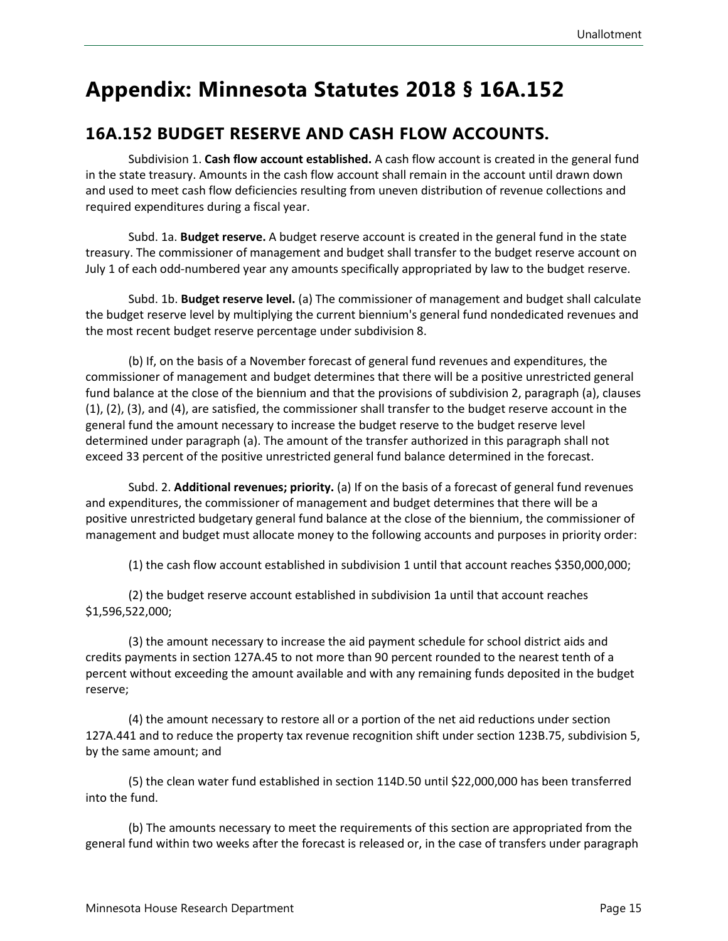### <span id="page-14-0"></span>**Appendix: Minnesota Statutes 2018 § 16A.152**

#### **16A.152 BUDGET RESERVE AND CASH FLOW ACCOUNTS.**

Subdivision 1. **Cash flow account established.** A cash flow account is created in the general fund in the state treasury. Amounts in the cash flow account shall remain in the account until drawn down and used to meet cash flow deficiencies resulting from uneven distribution of revenue collections and required expenditures during a fiscal year.

Subd. 1a. **Budget reserve.** A budget reserve account is created in the general fund in the state treasury. The commissioner of management and budget shall transfer to the budget reserve account on July 1 of each odd-numbered year any amounts specifically appropriated by law to the budget reserve.

Subd. 1b. **Budget reserve level.** (a) The commissioner of management and budget shall calculate the budget reserve level by multiplying the current biennium's general fund nondedicated revenues and the most recent budget reserve percentage under subdivision 8.

(b) If, on the basis of a November forecast of general fund revenues and expenditures, the commissioner of management and budget determines that there will be a positive unrestricted general fund balance at the close of the biennium and that the provisions of subdivision 2, paragraph (a), clauses (1), (2), (3), and (4), are satisfied, the commissioner shall transfer to the budget reserve account in the general fund the amount necessary to increase the budget reserve to the budget reserve level determined under paragraph (a). The amount of the transfer authorized in this paragraph shall not exceed 33 percent of the positive unrestricted general fund balance determined in the forecast.

Subd. 2. **Additional revenues; priority.** (a) If on the basis of a forecast of general fund revenues and expenditures, the commissioner of management and budget determines that there will be a positive unrestricted budgetary general fund balance at the close of the biennium, the commissioner of management and budget must allocate money to the following accounts and purposes in priority order:

(1) the cash flow account established in subdivision 1 until that account reaches \$350,000,000;

(2) the budget reserve account established in subdivision 1a until that account reaches \$1,596,522,000;

(3) the amount necessary to increase the aid payment schedule for school district aids and credits payments in section 127A.45 to not more than 90 percent rounded to the nearest tenth of a percent without exceeding the amount available and with any remaining funds deposited in the budget reserve;

(4) the amount necessary to restore all or a portion of the net aid reductions under section 127A.441 and to reduce the property tax revenue recognition shift under section 123B.75, subdivision 5, by the same amount; and

(5) the clean water fund established in section 114D.50 until \$22,000,000 has been transferred into the fund.

(b) The amounts necessary to meet the requirements of this section are appropriated from the general fund within two weeks after the forecast is released or, in the case of transfers under paragraph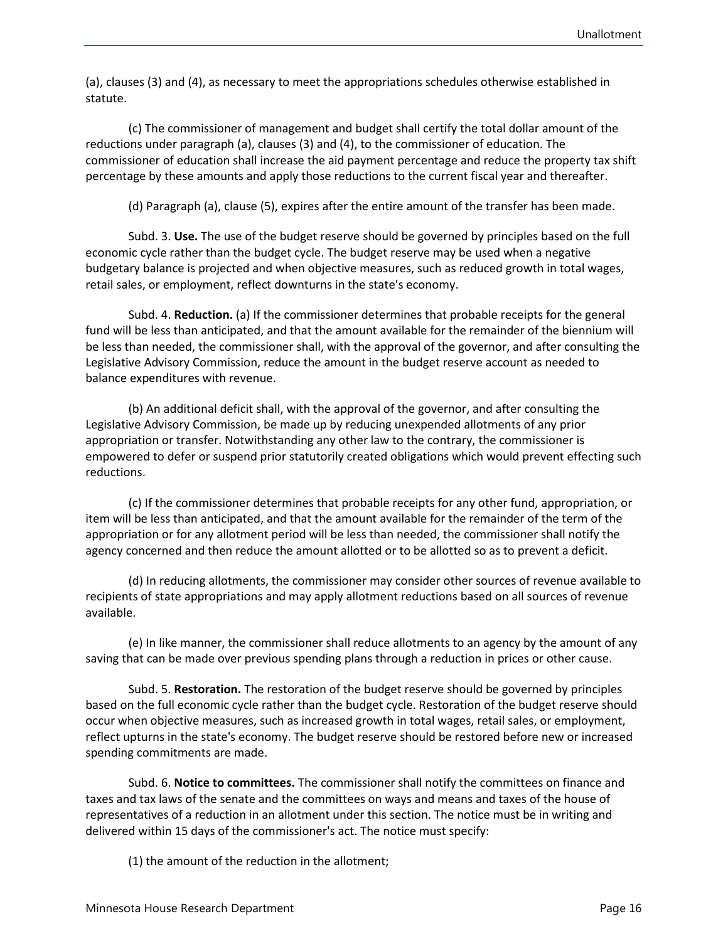(a), clauses (3) and (4), as necessary to meet the appropriations schedules otherwise established in statute.

(c) The commissioner of management and budget shall certify the total dollar amount of the reductions under paragraph (a), clauses (3) and (4), to the commissioner of education. The commissioner of education shall increase the aid payment percentage and reduce the property tax shift percentage by these amounts and apply those reductions to the current fiscal year and thereafter.

(d) Paragraph (a), clause (5), expires after the entire amount of the transfer has been made.

Subd. 3. **Use.** The use of the budget reserve should be governed by principles based on the full economic cycle rather than the budget cycle. The budget reserve may be used when a negative budgetary balance is projected and when objective measures, such as reduced growth in total wages, retail sales, or employment, reflect downturns in the state's economy.

Subd. 4. **Reduction.** (a) If the commissioner determines that probable receipts for the general fund will be less than anticipated, and that the amount available for the remainder of the biennium will be less than needed, the commissioner shall, with the approval of the governor, and after consulting the Legislative Advisory Commission, reduce the amount in the budget reserve account as needed to balance expenditures with revenue.

(b) An additional deficit shall, with the approval of the governor, and after consulting the Legislative Advisory Commission, be made up by reducing unexpended allotments of any prior appropriation or transfer. Notwithstanding any other law to the contrary, the commissioner is empowered to defer or suspend prior statutorily created obligations which would prevent effecting such reductions.

(c) If the commissioner determines that probable receipts for any other fund, appropriation, or item will be less than anticipated, and that the amount available for the remainder of the term of the appropriation or for any allotment period will be less than needed, the commissioner shall notify the agency concerned and then reduce the amount allotted or to be allotted so as to prevent a deficit.

(d) In reducing allotments, the commissioner may consider other sources of revenue available to recipients of state appropriations and may apply allotment reductions based on all sources of revenue available.

(e) In like manner, the commissioner shall reduce allotments to an agency by the amount of any saving that can be made over previous spending plans through a reduction in prices or other cause.

Subd. 5. **Restoration.** The restoration of the budget reserve should be governed by principles based on the full economic cycle rather than the budget cycle. Restoration of the budget reserve should occur when objective measures, such as increased growth in total wages, retail sales, or employment, reflect upturns in the state's economy. The budget reserve should be restored before new or increased spending commitments are made.

Subd. 6. **Notice to committees.** The commissioner shall notify the committees on finance and taxes and tax laws of the senate and the committees on ways and means and taxes of the house of representatives of a reduction in an allotment under this section. The notice must be in writing and delivered within 15 days of the commissioner's act. The notice must specify:

(1) the amount of the reduction in the allotment;